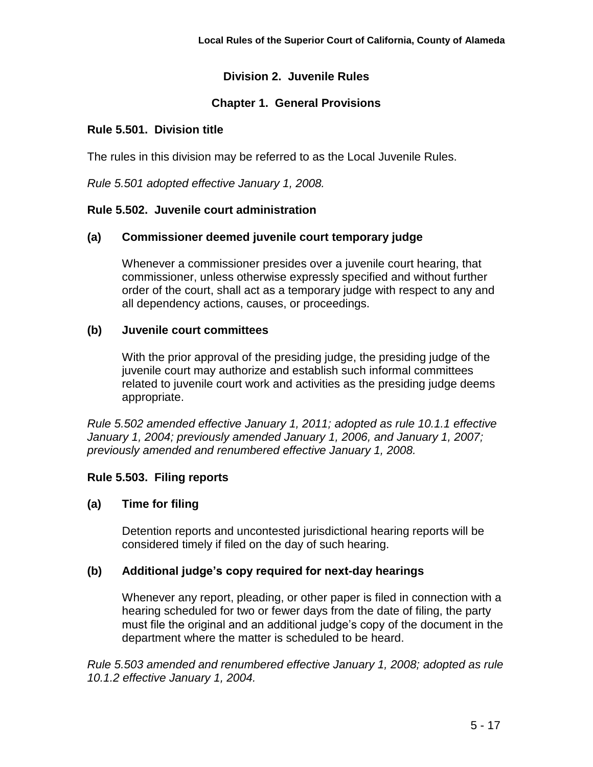# **Division 2. Juvenile Rules**

# **Chapter 1. General Provisions**

## **Rule 5.501. Division title**

The rules in this division may be referred to as the Local Juvenile Rules.

*Rule 5.501 adopted effective January 1, 2008.*

## **Rule 5.502. Juvenile court administration**

## **(a) Commissioner deemed juvenile court temporary judge**

Whenever a commissioner presides over a juvenile court hearing, that commissioner, unless otherwise expressly specified and without further order of the court, shall act as a temporary judge with respect to any and all dependency actions, causes, or proceedings.

## **(b) Juvenile court committees**

With the prior approval of the presiding judge, the presiding judge of the juvenile court may authorize and establish such informal committees related to juvenile court work and activities as the presiding judge deems appropriate.

*Rule 5.502 amended effective January 1, 2011; adopted as rule 10.1.1 effective January 1, 2004; previously amended January 1, 2006, and January 1, 2007; previously amended and renumbered effective January 1, 2008.*

# **Rule 5.503. Filing reports**

# **(a) Time for filing**

Detention reports and uncontested jurisdictional hearing reports will be considered timely if filed on the day of such hearing.

# **(b) Additional judge's copy required for next-day hearings**

Whenever any report, pleading, or other paper is filed in connection with a hearing scheduled for two or fewer days from the date of filing, the party must file the original and an additional judge's copy of the document in the department where the matter is scheduled to be heard.

*Rule 5.503 amended and renumbered effective January 1, 2008; adopted as rule 10.1.2 effective January 1, 2004.*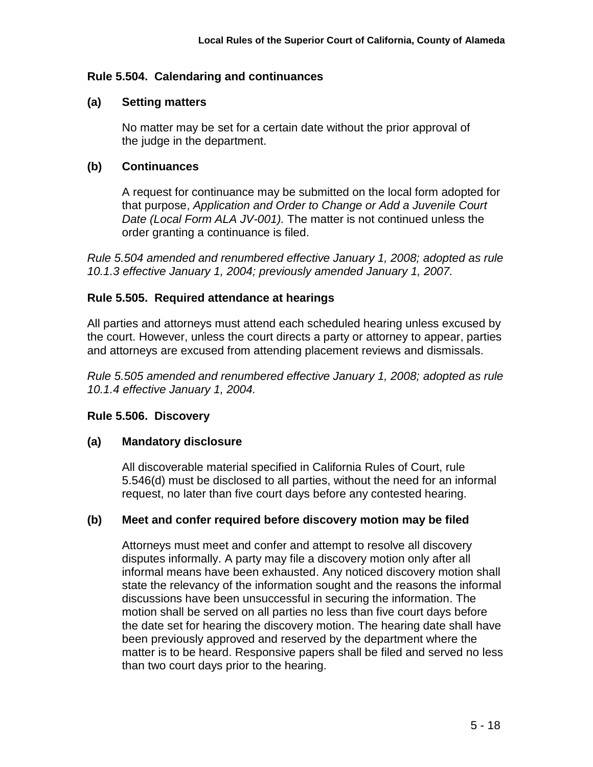## **Rule 5.504. Calendaring and continuances**

### **(a) Setting matters**

No matter may be set for a certain date without the prior approval of the judge in the department.

## **(b) Continuances**

A request for continuance may be submitted on the local form adopted for that purpose, *Application and Order to Change or Add a Juvenile Court Date (Local Form ALA JV-001).* The matter is not continued unless the order granting a continuance is filed.

*Rule 5.504 amended and renumbered effective January 1, 2008; adopted as rule 10.1.3 effective January 1, 2004; previously amended January 1, 2007.*

# **Rule 5.505. Required attendance at hearings**

All parties and attorneys must attend each scheduled hearing unless excused by the court. However, unless the court directs a party or attorney to appear, parties and attorneys are excused from attending placement reviews and dismissals.

*Rule 5.505 amended and renumbered effective January 1, 2008; adopted as rule 10.1.4 effective January 1, 2004.*

#### **Rule 5.506. Discovery**

#### **(a) Mandatory disclosure**

All discoverable material specified in California Rules of Court, rule 5.546(d) must be disclosed to all parties, without the need for an informal request, no later than five court days before any contested hearing.

# **(b) Meet and confer required before discovery motion may be filed**

Attorneys must meet and confer and attempt to resolve all discovery disputes informally. A party may file a discovery motion only after all informal means have been exhausted. Any noticed discovery motion shall state the relevancy of the information sought and the reasons the informal discussions have been unsuccessful in securing the information. The motion shall be served on all parties no less than five court days before the date set for hearing the discovery motion. The hearing date shall have been previously approved and reserved by the department where the matter is to be heard. Responsive papers shall be filed and served no less than two court days prior to the hearing.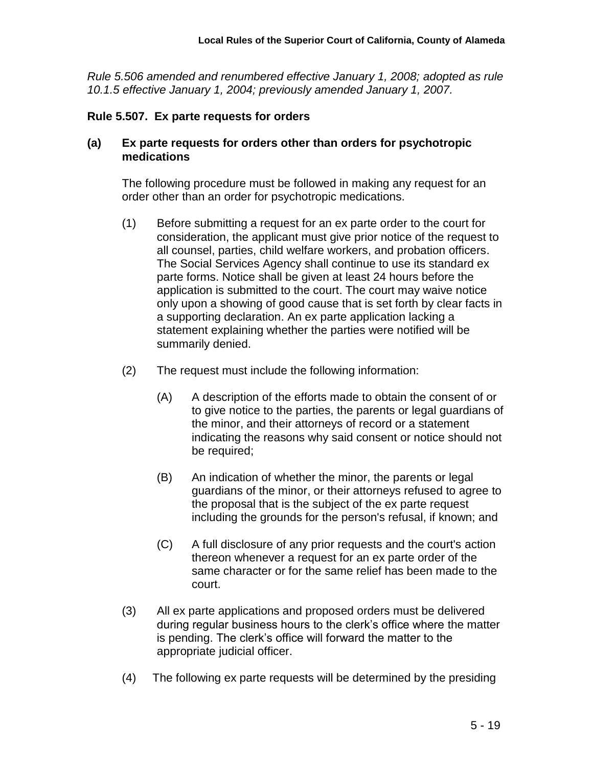*Rule 5.506 amended and renumbered effective January 1, 2008; adopted as rule 10.1.5 effective January 1, 2004; previously amended January 1, 2007.*

#### **Rule 5.507. Ex parte requests for orders**

### **(a) Ex parte requests for orders other than orders for psychotropic medications**

The following procedure must be followed in making any request for an order other than an order for psychotropic medications.

- (1) Before submitting a request for an ex parte order to the court for consideration, the applicant must give prior notice of the request to all counsel, parties, child welfare workers, and probation officers. The Social Services Agency shall continue to use its standard ex parte forms. Notice shall be given at least 24 hours before the application is submitted to the court. The court may waive notice only upon a showing of good cause that is set forth by clear facts in a supporting declaration. An ex parte application lacking a statement explaining whether the parties were notified will be summarily denied.
- (2) The request must include the following information:
	- (A) A description of the efforts made to obtain the consent of or to give notice to the parties, the parents or legal guardians of the minor, and their attorneys of record or a statement indicating the reasons why said consent or notice should not be required;
	- (B) An indication of whether the minor, the parents or legal guardians of the minor, or their attorneys refused to agree to the proposal that is the subject of the ex parte request including the grounds for the person's refusal, if known; and
	- (C) A full disclosure of any prior requests and the court's action thereon whenever a request for an ex parte order of the same character or for the same relief has been made to the court.
- (3) All ex parte applications and proposed orders must be delivered during regular business hours to the clerk's office where the matter is pending. The clerk's office will forward the matter to the appropriate judicial officer.
- (4) The following ex parte requests will be determined by the presiding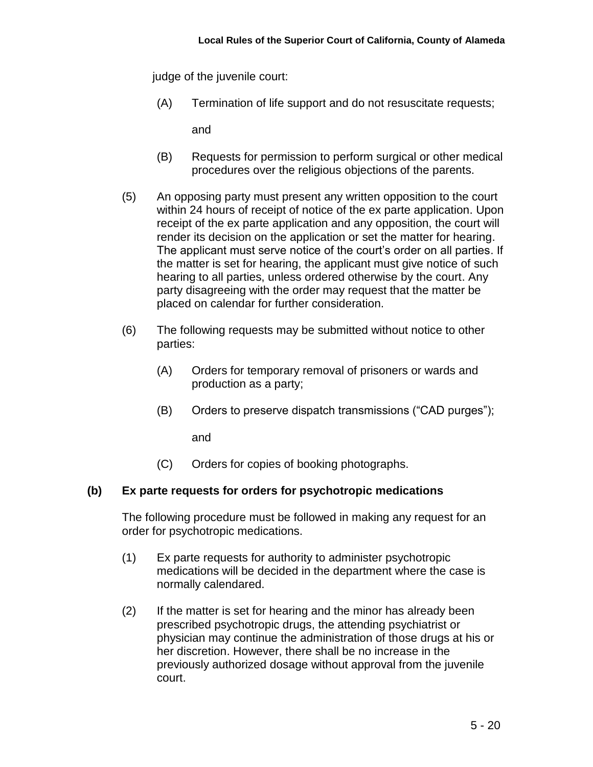judge of the juvenile court:

(A) Termination of life support and do not resuscitate requests;

and

- (B) Requests for permission to perform surgical or other medical procedures over the religious objections of the parents.
- (5) An opposing party must present any written opposition to the court within 24 hours of receipt of notice of the ex parte application. Upon receipt of the ex parte application and any opposition, the court will render its decision on the application or set the matter for hearing. The applicant must serve notice of the court's order on all parties. If the matter is set for hearing, the applicant must give notice of such hearing to all parties, unless ordered otherwise by the court. Any party disagreeing with the order may request that the matter be placed on calendar for further consideration.
- (6) The following requests may be submitted without notice to other parties:
	- (A) Orders for temporary removal of prisoners or wards and production as a party;
	- (B) Orders to preserve dispatch transmissions ("CAD purges");

and

(C) Orders for copies of booking photographs.

# **(b) Ex parte requests for orders for psychotropic medications**

The following procedure must be followed in making any request for an order for psychotropic medications.

- (1) Ex parte requests for authority to administer psychotropic medications will be decided in the department where the case is normally calendared.
- (2) If the matter is set for hearing and the minor has already been prescribed psychotropic drugs, the attending psychiatrist or physician may continue the administration of those drugs at his or her discretion. However, there shall be no increase in the previously authorized dosage without approval from the juvenile court.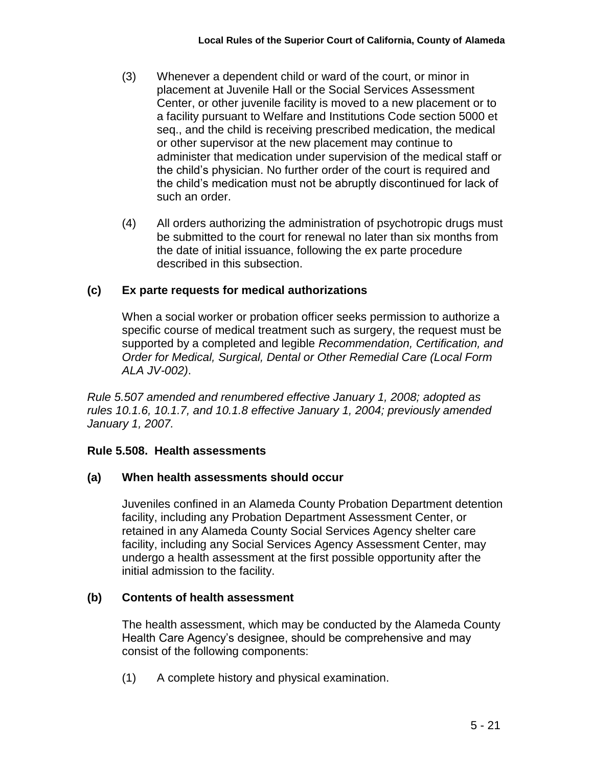- (3) Whenever a dependent child or ward of the court, or minor in placement at Juvenile Hall or the Social Services Assessment Center, or other juvenile facility is moved to a new placement or to a facility pursuant to Welfare and Institutions Code section 5000 et seq., and the child is receiving prescribed medication, the medical or other supervisor at the new placement may continue to administer that medication under supervision of the medical staff or the child's physician. No further order of the court is required and the child's medication must not be abruptly discontinued for lack of such an order.
- (4) All orders authorizing the administration of psychotropic drugs must be submitted to the court for renewal no later than six months from the date of initial issuance, following the ex parte procedure described in this subsection.

# **(c) Ex parte requests for medical authorizations**

When a social worker or probation officer seeks permission to authorize a specific course of medical treatment such as surgery, the request must be supported by a completed and legible *Recommendation, Certification, and Order for Medical, Surgical, Dental or Other Remedial Care (Local Form ALA JV-002)*.

*Rule 5.507 amended and renumbered effective January 1, 2008; adopted as rules 10.1.6, 10.1.7, and 10.1.8 effective January 1, 2004; previously amended January 1, 2007.*

# **Rule 5.508. Health assessments**

# **(a) When health assessments should occur**

Juveniles confined in an Alameda County Probation Department detention facility, including any Probation Department Assessment Center, or retained in any Alameda County Social Services Agency shelter care facility, including any Social Services Agency Assessment Center, may undergo a health assessment at the first possible opportunity after the initial admission to the facility.

# **(b) Contents of health assessment**

The health assessment, which may be conducted by the Alameda County Health Care Agency's designee, should be comprehensive and may consist of the following components:

(1) A complete history and physical examination.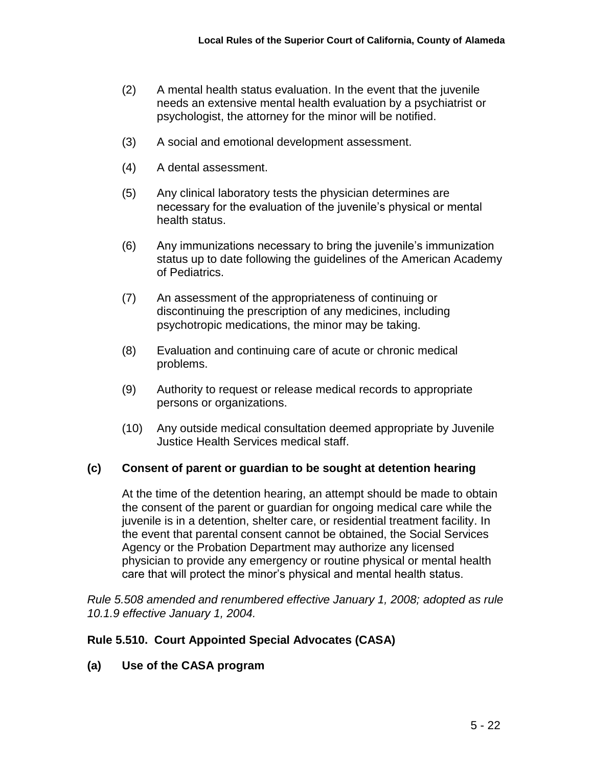- (2) A mental health status evaluation. In the event that the juvenile needs an extensive mental health evaluation by a psychiatrist or psychologist, the attorney for the minor will be notified.
- (3) A social and emotional development assessment.
- (4) A dental assessment.
- (5) Any clinical laboratory tests the physician determines are necessary for the evaluation of the juvenile's physical or mental health status.
- (6) Any immunizations necessary to bring the juvenile's immunization status up to date following the guidelines of the American Academy of Pediatrics.
- (7) An assessment of the appropriateness of continuing or discontinuing the prescription of any medicines, including psychotropic medications, the minor may be taking.
- (8) Evaluation and continuing care of acute or chronic medical problems.
- (9) Authority to request or release medical records to appropriate persons or organizations.
- (10) Any outside medical consultation deemed appropriate by Juvenile Justice Health Services medical staff.

#### **(c) Consent of parent or guardian to be sought at detention hearing**

At the time of the detention hearing, an attempt should be made to obtain the consent of the parent or guardian for ongoing medical care while the juvenile is in a detention, shelter care, or residential treatment facility. In the event that parental consent cannot be obtained, the Social Services Agency or the Probation Department may authorize any licensed physician to provide any emergency or routine physical or mental health care that will protect the minor's physical and mental health status.

*Rule 5.508 amended and renumbered effective January 1, 2008; adopted as rule 10.1.9 effective January 1, 2004.*

#### **Rule 5.510. Court Appointed Special Advocates (CASA)**

**(a) Use of the CASA program**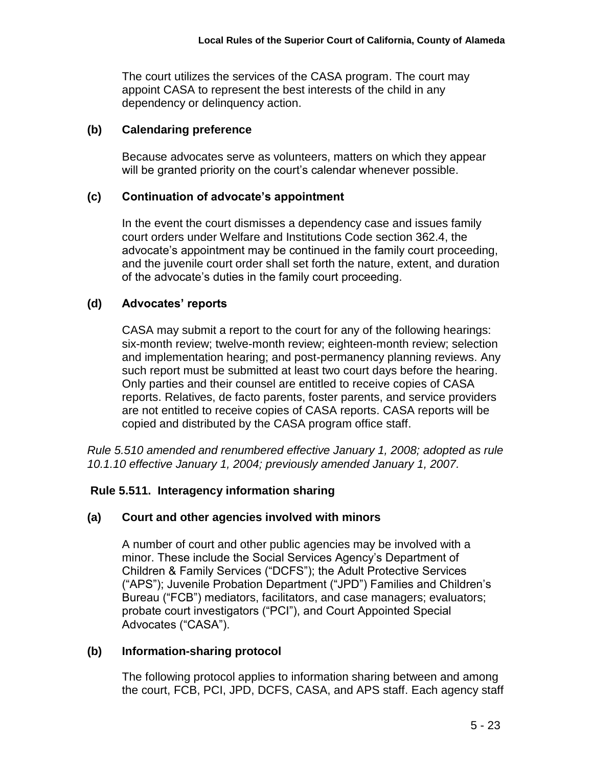The court utilizes the services of the CASA program. The court may appoint CASA to represent the best interests of the child in any dependency or delinquency action.

# **(b) Calendaring preference**

Because advocates serve as volunteers, matters on which they appear will be granted priority on the court's calendar whenever possible.

# **(c) Continuation of advocate's appointment**

In the event the court dismisses a dependency case and issues family court orders under Welfare and Institutions Code section 362.4, the advocate's appointment may be continued in the family court proceeding, and the juvenile court order shall set forth the nature, extent, and duration of the advocate's duties in the family court proceeding.

# **(d) Advocates' reports**

CASA may submit a report to the court for any of the following hearings: six-month review; twelve-month review; eighteen-month review; selection and implementation hearing; and post-permanency planning reviews. Any such report must be submitted at least two court days before the hearing. Only parties and their counsel are entitled to receive copies of CASA reports. Relatives, de facto parents, foster parents, and service providers are not entitled to receive copies of CASA reports. CASA reports will be copied and distributed by the CASA program office staff.

*Rule 5.510 amended and renumbered effective January 1, 2008; adopted as rule 10.1.10 effective January 1, 2004; previously amended January 1, 2007.*

# **Rule 5.511. Interagency information sharing**

# **(a) Court and other agencies involved with minors**

A number of court and other public agencies may be involved with a minor. These include the Social Services Agency's Department of Children & Family Services ("DCFS"); the Adult Protective Services ("APS"); Juvenile Probation Department ("JPD") Families and Children's Bureau ("FCB") mediators, facilitators, and case managers; evaluators; probate court investigators ("PCI"), and Court Appointed Special Advocates ("CASA").

# **(b) Information-sharing protocol**

The following protocol applies to information sharing between and among the court, FCB, PCI, JPD, DCFS, CASA, and APS staff. Each agency staff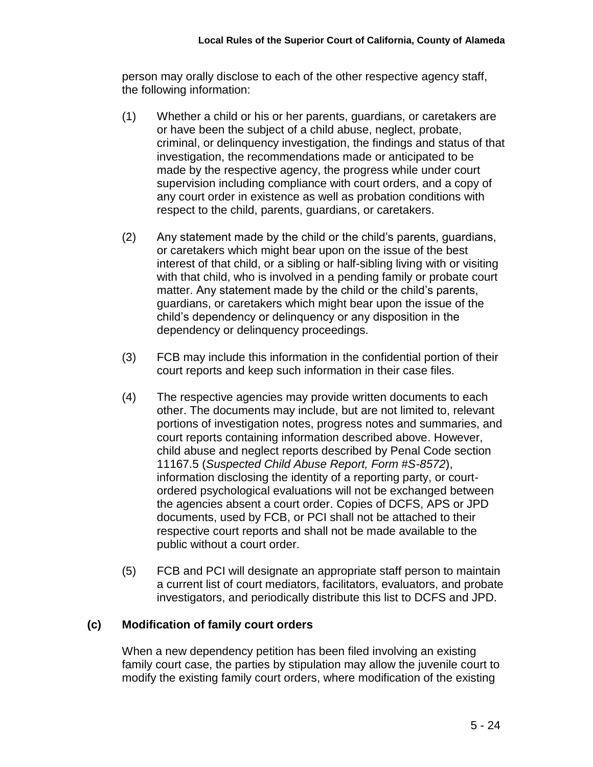person may orally disclose to each of the other respective agency staff, the following information:

- (1) Whether a child or his or her parents, guardians, or caretakers are or have been the subject of a child abuse, neglect, probate, criminal, or delinquency investigation, the findings and status of that investigation, the recommendations made or anticipated to be made by the respective agency, the progress while under court supervision including compliance with court orders, and a copy of any court order in existence as well as probation conditions with respect to the child, parents, guardians, or caretakers.
- (2) Any statement made by the child or the child's parents, guardians, or caretakers which might bear upon on the issue of the best interest of that child, or a sibling or half-sibling living with or visiting with that child, who is involved in a pending family or probate court matter. Any statement made by the child or the child's parents, guardians, or caretakers which might bear upon the issue of the child's dependency or delinquency or any disposition in the dependency or delinquency proceedings.
- (3) FCB may include this information in the confidential portion of their court reports and keep such information in their case files.
- (4) The respective agencies may provide written documents to each other. The documents may include, but are not limited to, relevant portions of investigation notes, progress notes and summaries, and court reports containing information described above. However, child abuse and neglect reports described by Penal Code section 11167.5 (*Suspected Child Abuse Report, Form #S-8572*), information disclosing the identity of a reporting party, or courtordered psychological evaluations will not be exchanged between the agencies absent a court order. Copies of DCFS, APS or JPD documents, used by FCB, or PCI shall not be attached to their respective court reports and shall not be made available to the public without a court order.
- (5) FCB and PCI will designate an appropriate staff person to maintain a current list of court mediators, facilitators, evaluators, and probate investigators, and periodically distribute this list to DCFS and JPD.

# **(c) Modification of family court orders**

When a new dependency petition has been filed involving an existing family court case, the parties by stipulation may allow the juvenile court to modify the existing family court orders, where modification of the existing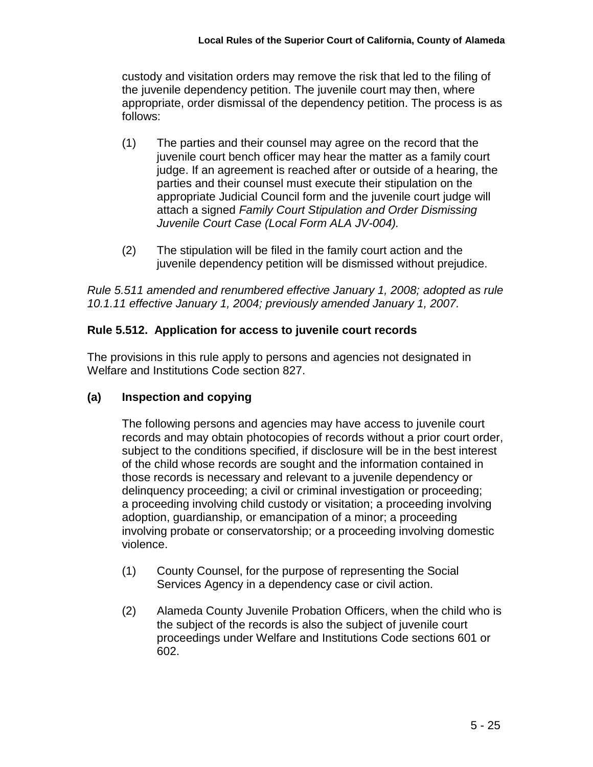custody and visitation orders may remove the risk that led to the filing of the juvenile dependency petition. The juvenile court may then, where appropriate, order dismissal of the dependency petition. The process is as follows:

- (1) The parties and their counsel may agree on the record that the juvenile court bench officer may hear the matter as a family court judge. If an agreement is reached after or outside of a hearing, the parties and their counsel must execute their stipulation on the appropriate Judicial Council form and the juvenile court judge will attach a signed *Family Court Stipulation and Order Dismissing Juvenile Court Case (Local Form ALA JV-004).*
- (2) The stipulation will be filed in the family court action and the juvenile dependency petition will be dismissed without prejudice.

*Rule 5.511 amended and renumbered effective January 1, 2008; adopted as rule 10.1.11 effective January 1, 2004; previously amended January 1, 2007.*

# **Rule 5.512. Application for access to juvenile court records**

The provisions in this rule apply to persons and agencies not designated in Welfare and Institutions Code section 827.

# **(a) Inspection and copying**

The following persons and agencies may have access to juvenile court records and may obtain photocopies of records without a prior court order, subject to the conditions specified, if disclosure will be in the best interest of the child whose records are sought and the information contained in those records is necessary and relevant to a juvenile dependency or delinquency proceeding; a civil or criminal investigation or proceeding; a proceeding involving child custody or visitation; a proceeding involving adoption, guardianship, or emancipation of a minor; a proceeding involving probate or conservatorship; or a proceeding involving domestic violence.

- (1) County Counsel, for the purpose of representing the Social Services Agency in a dependency case or civil action.
- (2) Alameda County Juvenile Probation Officers, when the child who is the subject of the records is also the subject of juvenile court proceedings under Welfare and Institutions Code sections 601 or 602.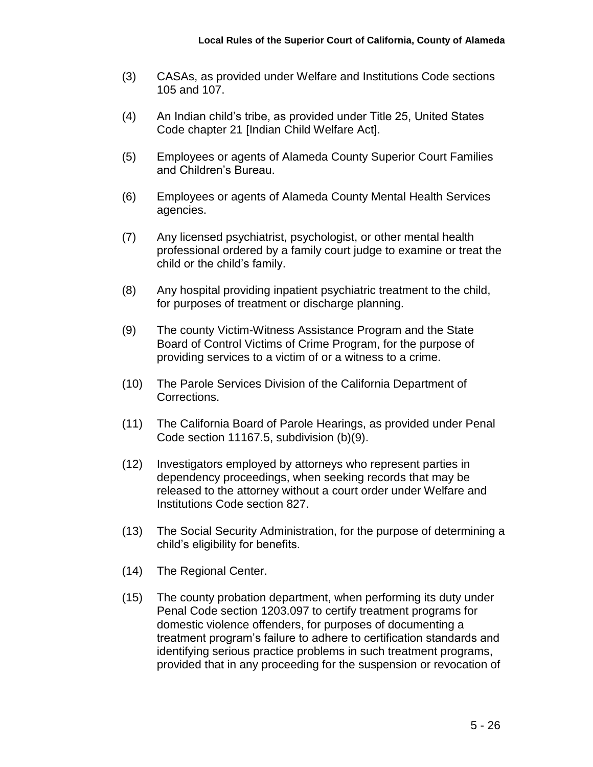- (3) CASAs, as provided under Welfare and Institutions Code sections 105 and 107.
- (4) An Indian child's tribe, as provided under Title 25, United States Code chapter 21 [Indian Child Welfare Act].
- (5) Employees or agents of Alameda County Superior Court Families and Children's Bureau.
- (6) Employees or agents of Alameda County Mental Health Services agencies.
- (7) Any licensed psychiatrist, psychologist, or other mental health professional ordered by a family court judge to examine or treat the child or the child's family.
- (8) Any hospital providing inpatient psychiatric treatment to the child, for purposes of treatment or discharge planning.
- (9) The county Victim-Witness Assistance Program and the State Board of Control Victims of Crime Program, for the purpose of providing services to a victim of or a witness to a crime.
- (10) The Parole Services Division of the California Department of Corrections.
- (11) The California Board of Parole Hearings, as provided under Penal Code section 11167.5, subdivision (b)(9).
- (12) Investigators employed by attorneys who represent parties in dependency proceedings, when seeking records that may be released to the attorney without a court order under Welfare and Institutions Code section 827.
- (13) The Social Security Administration, for the purpose of determining a child's eligibility for benefits.
- (14) The Regional Center.
- (15) The county probation department, when performing its duty under Penal Code section 1203.097 to certify treatment programs for domestic violence offenders, for purposes of documenting a treatment program's failure to adhere to certification standards and identifying serious practice problems in such treatment programs, provided that in any proceeding for the suspension or revocation of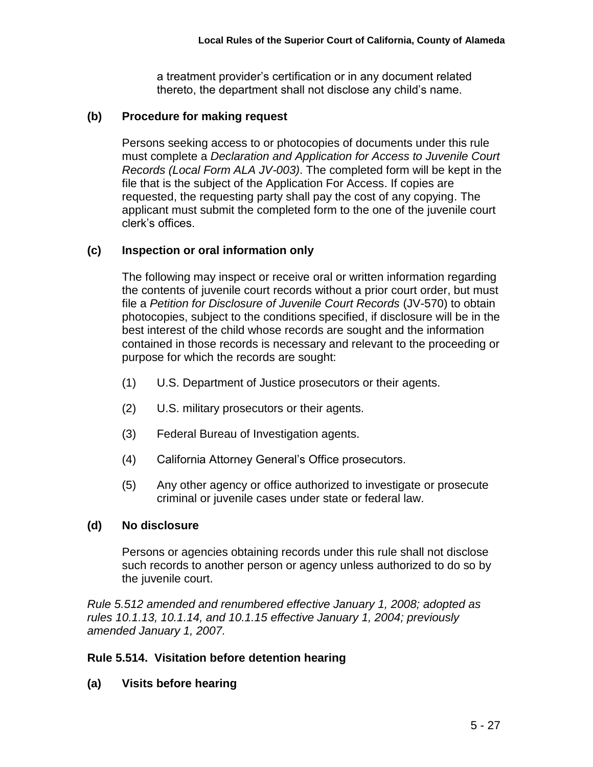a treatment provider's certification or in any document related thereto, the department shall not disclose any child's name.

#### **(b) Procedure for making request**

Persons seeking access to or photocopies of documents under this rule must complete a *Declaration and Application for Access to Juvenile Court Records (Local Form ALA JV-003)*. The completed form will be kept in the file that is the subject of the Application For Access. If copies are requested, the requesting party shall pay the cost of any copying. The applicant must submit the completed form to the one of the juvenile court clerk's offices.

## **(c) Inspection or oral information only**

The following may inspect or receive oral or written information regarding the contents of juvenile court records without a prior court order, but must file a *Petition for Disclosure of Juvenile Court Records* (JV-570) to obtain photocopies, subject to the conditions specified, if disclosure will be in the best interest of the child whose records are sought and the information contained in those records is necessary and relevant to the proceeding or purpose for which the records are sought:

- (1) U.S. Department of Justice prosecutors or their agents.
- (2) U.S. military prosecutors or their agents.
- (3) Federal Bureau of Investigation agents.
- (4) California Attorney General's Office prosecutors.
- (5) Any other agency or office authorized to investigate or prosecute criminal or juvenile cases under state or federal law.

#### **(d) No disclosure**

Persons or agencies obtaining records under this rule shall not disclose such records to another person or agency unless authorized to do so by the juvenile court.

*Rule 5.512 amended and renumbered effective January 1, 2008; adopted as rules 10.1.13, 10.1.14, and 10.1.15 effective January 1, 2004; previously amended January 1, 2007.*

# **Rule 5.514. Visitation before detention hearing**

#### **(a) Visits before hearing**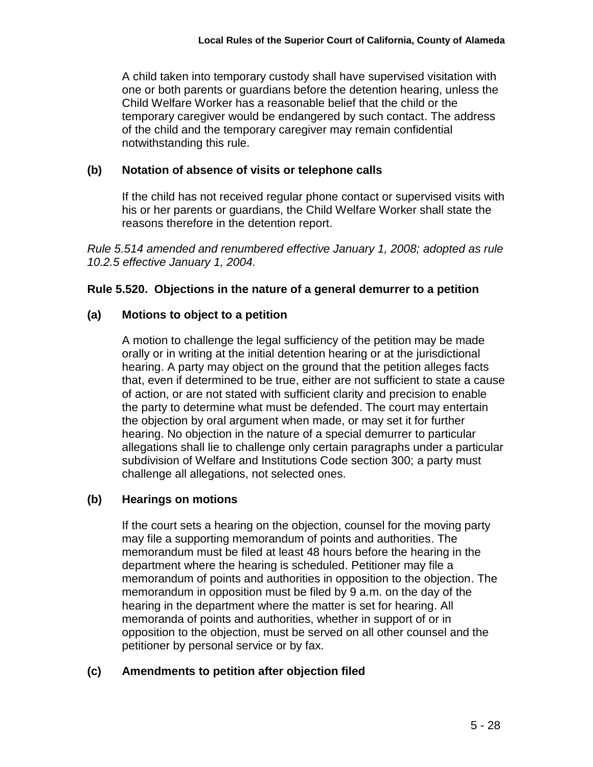A child taken into temporary custody shall have supervised visitation with one or both parents or guardians before the detention hearing, unless the Child Welfare Worker has a reasonable belief that the child or the temporary caregiver would be endangered by such contact. The address of the child and the temporary caregiver may remain confidential notwithstanding this rule.

# **(b) Notation of absence of visits or telephone calls**

If the child has not received regular phone contact or supervised visits with his or her parents or guardians, the Child Welfare Worker shall state the reasons therefore in the detention report.

*Rule 5.514 amended and renumbered effective January 1, 2008; adopted as rule 10.2.5 effective January 1, 2004.*

# **Rule 5.520. Objections in the nature of a general demurrer to a petition**

# **(a) Motions to object to a petition**

A motion to challenge the legal sufficiency of the petition may be made orally or in writing at the initial detention hearing or at the jurisdictional hearing. A party may object on the ground that the petition alleges facts that, even if determined to be true, either are not sufficient to state a cause of action, or are not stated with sufficient clarity and precision to enable the party to determine what must be defended. The court may entertain the objection by oral argument when made, or may set it for further hearing. No objection in the nature of a special demurrer to particular allegations shall lie to challenge only certain paragraphs under a particular subdivision of Welfare and Institutions Code section 300; a party must challenge all allegations, not selected ones.

# **(b) Hearings on motions**

If the court sets a hearing on the objection, counsel for the moving party may file a supporting memorandum of points and authorities. The memorandum must be filed at least 48 hours before the hearing in the department where the hearing is scheduled. Petitioner may file a memorandum of points and authorities in opposition to the objection. The memorandum in opposition must be filed by 9 a.m. on the day of the hearing in the department where the matter is set for hearing. All memoranda of points and authorities, whether in support of or in opposition to the objection, must be served on all other counsel and the petitioner by personal service or by fax.

# **(c) Amendments to petition after objection filed**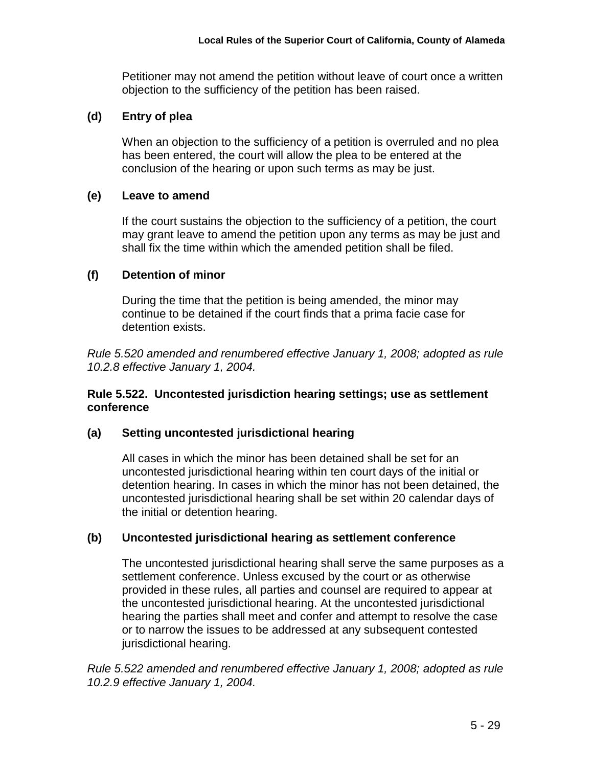Petitioner may not amend the petition without leave of court once a written objection to the sufficiency of the petition has been raised.

## **(d) Entry of plea**

When an objection to the sufficiency of a petition is overruled and no plea has been entered, the court will allow the plea to be entered at the conclusion of the hearing or upon such terms as may be just.

## **(e) Leave to amend**

If the court sustains the objection to the sufficiency of a petition, the court may grant leave to amend the petition upon any terms as may be just and shall fix the time within which the amended petition shall be filed.

## **(f) Detention of minor**

During the time that the petition is being amended, the minor may continue to be detained if the court finds that a prima facie case for detention exists.

*Rule 5.520 amended and renumbered effective January 1, 2008; adopted as rule 10.2.8 effective January 1, 2004.*

#### **Rule 5.522. Uncontested jurisdiction hearing settings; use as settlement conference**

#### **(a) Setting uncontested jurisdictional hearing**

All cases in which the minor has been detained shall be set for an uncontested jurisdictional hearing within ten court days of the initial or detention hearing. In cases in which the minor has not been detained, the uncontested jurisdictional hearing shall be set within 20 calendar days of the initial or detention hearing.

# **(b) Uncontested jurisdictional hearing as settlement conference**

The uncontested jurisdictional hearing shall serve the same purposes as a settlement conference. Unless excused by the court or as otherwise provided in these rules, all parties and counsel are required to appear at the uncontested jurisdictional hearing. At the uncontested jurisdictional hearing the parties shall meet and confer and attempt to resolve the case or to narrow the issues to be addressed at any subsequent contested jurisdictional hearing.

*Rule 5.522 amended and renumbered effective January 1, 2008; adopted as rule 10.2.9 effective January 1, 2004.*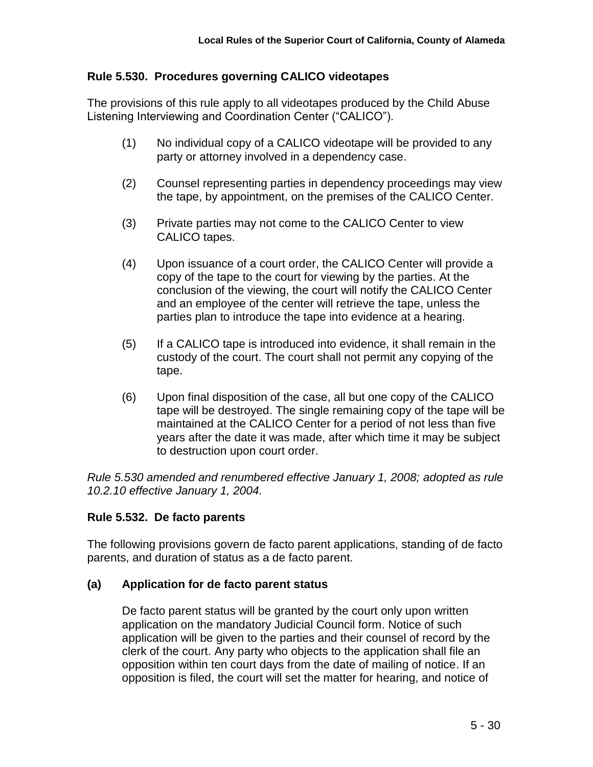### **Rule 5.530. Procedures governing CALICO videotapes**

The provisions of this rule apply to all videotapes produced by the Child Abuse Listening Interviewing and Coordination Center ("CALICO").

- (1) No individual copy of a CALICO videotape will be provided to any party or attorney involved in a dependency case.
- (2) Counsel representing parties in dependency proceedings may view the tape, by appointment, on the premises of the CALICO Center.
- (3) Private parties may not come to the CALICO Center to view CALICO tapes.
- (4) Upon issuance of a court order, the CALICO Center will provide a copy of the tape to the court for viewing by the parties. At the conclusion of the viewing, the court will notify the CALICO Center and an employee of the center will retrieve the tape, unless the parties plan to introduce the tape into evidence at a hearing.
- (5) If a CALICO tape is introduced into evidence, it shall remain in the custody of the court. The court shall not permit any copying of the tape.
- (6) Upon final disposition of the case, all but one copy of the CALICO tape will be destroyed. The single remaining copy of the tape will be maintained at the CALICO Center for a period of not less than five years after the date it was made, after which time it may be subject to destruction upon court order.

*Rule 5.530 amended and renumbered effective January 1, 2008; adopted as rule 10.2.10 effective January 1, 2004.*

# **Rule 5.532. De facto parents**

The following provisions govern de facto parent applications, standing of de facto parents, and duration of status as a de facto parent.

#### **(a) Application for de facto parent status**

De facto parent status will be granted by the court only upon written application on the mandatory Judicial Council form. Notice of such application will be given to the parties and their counsel of record by the clerk of the court. Any party who objects to the application shall file an opposition within ten court days from the date of mailing of notice. If an opposition is filed, the court will set the matter for hearing, and notice of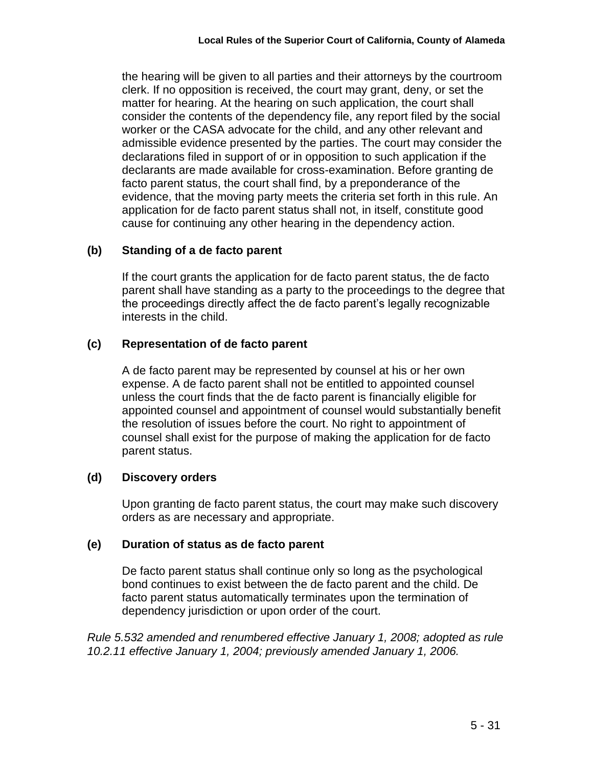the hearing will be given to all parties and their attorneys by the courtroom clerk. If no opposition is received, the court may grant, deny, or set the matter for hearing. At the hearing on such application, the court shall consider the contents of the dependency file, any report filed by the social worker or the CASA advocate for the child, and any other relevant and admissible evidence presented by the parties. The court may consider the declarations filed in support of or in opposition to such application if the declarants are made available for cross-examination. Before granting de facto parent status, the court shall find, by a preponderance of the evidence, that the moving party meets the criteria set forth in this rule. An application for de facto parent status shall not, in itself, constitute good cause for continuing any other hearing in the dependency action.

## **(b) Standing of a de facto parent**

If the court grants the application for de facto parent status, the de facto parent shall have standing as a party to the proceedings to the degree that the proceedings directly affect the de facto parent's legally recognizable interests in the child.

## **(c) Representation of de facto parent**

A de facto parent may be represented by counsel at his or her own expense. A de facto parent shall not be entitled to appointed counsel unless the court finds that the de facto parent is financially eligible for appointed counsel and appointment of counsel would substantially benefit the resolution of issues before the court. No right to appointment of counsel shall exist for the purpose of making the application for de facto parent status.

#### **(d) Discovery orders**

Upon granting de facto parent status, the court may make such discovery orders as are necessary and appropriate.

#### **(e) Duration of status as de facto parent**

De facto parent status shall continue only so long as the psychological bond continues to exist between the de facto parent and the child. De facto parent status automatically terminates upon the termination of dependency jurisdiction or upon order of the court.

*Rule 5.532 amended and renumbered effective January 1, 2008; adopted as rule 10.2.11 effective January 1, 2004; previously amended January 1, 2006.*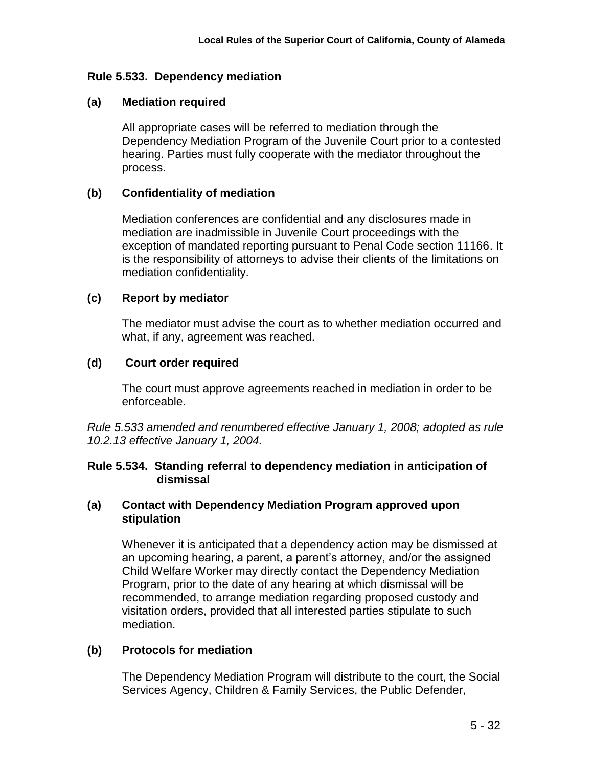## **Rule 5.533. Dependency mediation**

### **(a) Mediation required**

All appropriate cases will be referred to mediation through the Dependency Mediation Program of the Juvenile Court prior to a contested hearing. Parties must fully cooperate with the mediator throughout the process.

## **(b) Confidentiality of mediation**

Mediation conferences are confidential and any disclosures made in mediation are inadmissible in Juvenile Court proceedings with the exception of mandated reporting pursuant to Penal Code section 11166. It is the responsibility of attorneys to advise their clients of the limitations on mediation confidentiality.

## **(c) Report by mediator**

The mediator must advise the court as to whether mediation occurred and what, if any, agreement was reached.

# **(d) Court order required**

The court must approve agreements reached in mediation in order to be enforceable.

*Rule 5.533 amended and renumbered effective January 1, 2008; adopted as rule 10.2.13 effective January 1, 2004.*

## **Rule 5.534. Standing referral to dependency mediation in anticipation of dismissal**

#### **(a) Contact with Dependency Mediation Program approved upon stipulation**

Whenever it is anticipated that a dependency action may be dismissed at an upcoming hearing, a parent, a parent's attorney, and/or the assigned Child Welfare Worker may directly contact the Dependency Mediation Program, prior to the date of any hearing at which dismissal will be recommended, to arrange mediation regarding proposed custody and visitation orders, provided that all interested parties stipulate to such mediation.

# **(b) Protocols for mediation**

The Dependency Mediation Program will distribute to the court, the Social Services Agency, Children & Family Services, the Public Defender,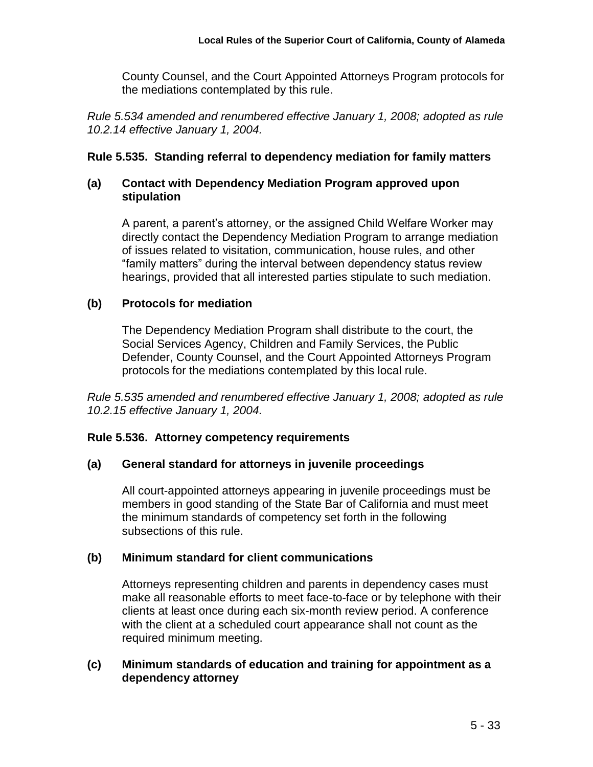County Counsel, and the Court Appointed Attorneys Program protocols for the mediations contemplated by this rule.

*Rule 5.534 amended and renumbered effective January 1, 2008; adopted as rule 10.2.14 effective January 1, 2004.*

## **Rule 5.535. Standing referral to dependency mediation for family matters**

### **(a) Contact with Dependency Mediation Program approved upon stipulation**

A parent, a parent's attorney, or the assigned Child Welfare Worker may directly contact the Dependency Mediation Program to arrange mediation of issues related to visitation, communication, house rules, and other "family matters" during the interval between dependency status review hearings, provided that all interested parties stipulate to such mediation.

## **(b) Protocols for mediation**

The Dependency Mediation Program shall distribute to the court, the Social Services Agency, Children and Family Services, the Public Defender, County Counsel, and the Court Appointed Attorneys Program protocols for the mediations contemplated by this local rule.

*Rule 5.535 amended and renumbered effective January 1, 2008; adopted as rule 10.2.15 effective January 1, 2004.*

# **Rule 5.536. Attorney competency requirements**

# **(a) General standard for attorneys in juvenile proceedings**

All court-appointed attorneys appearing in juvenile proceedings must be members in good standing of the State Bar of California and must meet the minimum standards of competency set forth in the following subsections of this rule.

# **(b) Minimum standard for client communications**

Attorneys representing children and parents in dependency cases must make all reasonable efforts to meet face-to-face or by telephone with their clients at least once during each six-month review period. A conference with the client at a scheduled court appearance shall not count as the required minimum meeting.

## **(c) Minimum standards of education and training for appointment as a dependency attorney**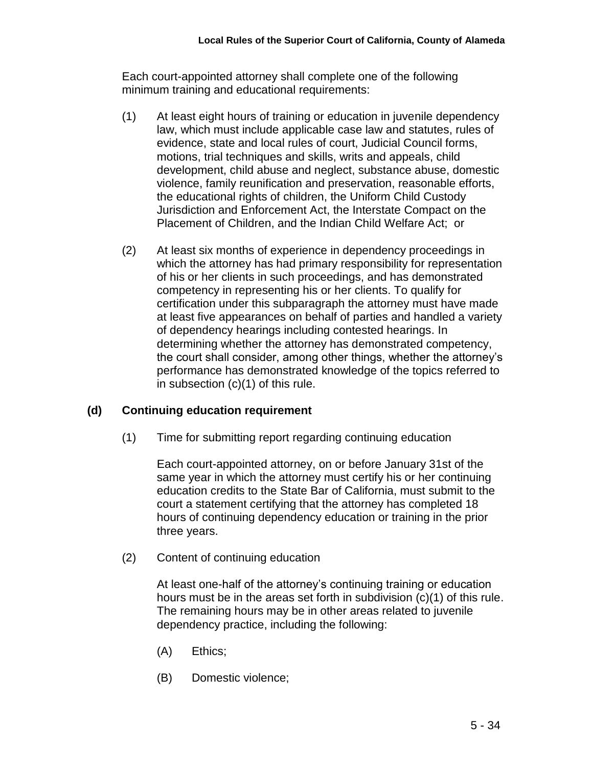Each court-appointed attorney shall complete one of the following minimum training and educational requirements:

- (1) At least eight hours of training or education in juvenile dependency law, which must include applicable case law and statutes, rules of evidence, state and local rules of court, Judicial Council forms, motions, trial techniques and skills, writs and appeals, child development, child abuse and neglect, substance abuse, domestic violence, family reunification and preservation, reasonable efforts, the educational rights of children, the Uniform Child Custody Jurisdiction and Enforcement Act, the Interstate Compact on the Placement of Children, and the Indian Child Welfare Act; or
- (2) At least six months of experience in dependency proceedings in which the attorney has had primary responsibility for representation of his or her clients in such proceedings, and has demonstrated competency in representing his or her clients. To qualify for certification under this subparagraph the attorney must have made at least five appearances on behalf of parties and handled a variety of dependency hearings including contested hearings. In determining whether the attorney has demonstrated competency, the court shall consider, among other things, whether the attorney's performance has demonstrated knowledge of the topics referred to in subsection  $(c)(1)$  of this rule.

# **(d) Continuing education requirement**

(1) Time for submitting report regarding continuing education

Each court-appointed attorney, on or before January 31st of the same year in which the attorney must certify his or her continuing education credits to the State Bar of California, must submit to the court a statement certifying that the attorney has completed 18 hours of continuing dependency education or training in the prior three years.

(2) Content of continuing education

At least one-half of the attorney's continuing training or education hours must be in the areas set forth in subdivision (c)(1) of this rule. The remaining hours may be in other areas related to juvenile dependency practice, including the following:

- (A) Ethics;
- (B) Domestic violence;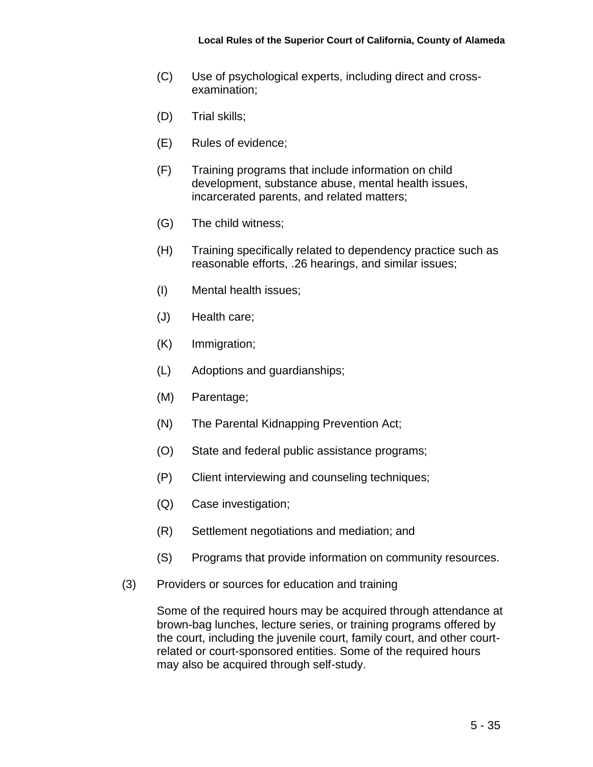- (C) Use of psychological experts, including direct and crossexamination;
- (D) Trial skills;
- (E) Rules of evidence;
- (F) Training programs that include information on child development, substance abuse, mental health issues, incarcerated parents, and related matters;
- (G) The child witness;
- (H) Training specifically related to dependency practice such as reasonable efforts, .26 hearings, and similar issues;
- (I) Mental health issues;
- (J) Health care;
- (K) Immigration;
- (L) Adoptions and guardianships;
- (M) Parentage;
- (N) The Parental Kidnapping Prevention Act;
- (O) State and federal public assistance programs;
- (P) Client interviewing and counseling techniques;
- (Q) Case investigation;
- (R) Settlement negotiations and mediation; and
- (S) Programs that provide information on community resources.
- (3) Providers or sources for education and training

Some of the required hours may be acquired through attendance at brown-bag lunches, lecture series, or training programs offered by the court, including the juvenile court, family court, and other courtrelated or court-sponsored entities. Some of the required hours may also be acquired through self-study.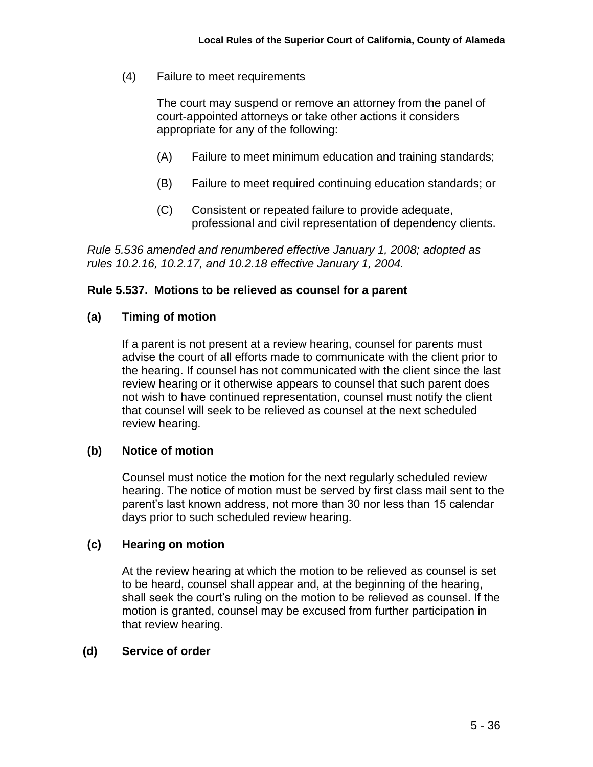(4) Failure to meet requirements

The court may suspend or remove an attorney from the panel of court-appointed attorneys or take other actions it considers appropriate for any of the following:

- (A) Failure to meet minimum education and training standards;
- (B) Failure to meet required continuing education standards; or
- (C) Consistent or repeated failure to provide adequate, professional and civil representation of dependency clients.

*Rule 5.536 amended and renumbered effective January 1, 2008; adopted as rules 10.2.16, 10.2.17, and 10.2.18 effective January 1, 2004.*

#### **Rule 5.537. Motions to be relieved as counsel for a parent**

#### **(a) Timing of motion**

If a parent is not present at a review hearing, counsel for parents must advise the court of all efforts made to communicate with the client prior to the hearing. If counsel has not communicated with the client since the last review hearing or it otherwise appears to counsel that such parent does not wish to have continued representation, counsel must notify the client that counsel will seek to be relieved as counsel at the next scheduled review hearing.

#### **(b) Notice of motion**

Counsel must notice the motion for the next regularly scheduled review hearing. The notice of motion must be served by first class mail sent to the parent's last known address, not more than 30 nor less than 15 calendar days prior to such scheduled review hearing.

#### **(c) Hearing on motion**

At the review hearing at which the motion to be relieved as counsel is set to be heard, counsel shall appear and, at the beginning of the hearing, shall seek the court's ruling on the motion to be relieved as counsel. If the motion is granted, counsel may be excused from further participation in that review hearing.

#### **(d) Service of order**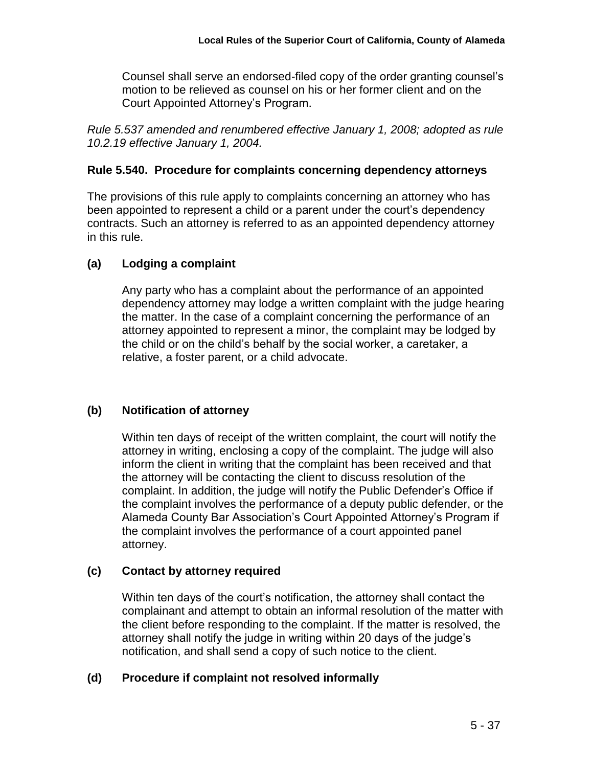Counsel shall serve an endorsed-filed copy of the order granting counsel's motion to be relieved as counsel on his or her former client and on the Court Appointed Attorney's Program.

*Rule 5.537 amended and renumbered effective January 1, 2008; adopted as rule 10.2.19 effective January 1, 2004.*

## **Rule 5.540. Procedure for complaints concerning dependency attorneys**

The provisions of this rule apply to complaints concerning an attorney who has been appointed to represent a child or a parent under the court's dependency contracts. Such an attorney is referred to as an appointed dependency attorney in this rule.

# **(a) Lodging a complaint**

Any party who has a complaint about the performance of an appointed dependency attorney may lodge a written complaint with the judge hearing the matter. In the case of a complaint concerning the performance of an attorney appointed to represent a minor, the complaint may be lodged by the child or on the child's behalf by the social worker, a caretaker, a relative, a foster parent, or a child advocate.

# **(b) Notification of attorney**

Within ten days of receipt of the written complaint, the court will notify the attorney in writing, enclosing a copy of the complaint. The judge will also inform the client in writing that the complaint has been received and that the attorney will be contacting the client to discuss resolution of the complaint. In addition, the judge will notify the Public Defender's Office if the complaint involves the performance of a deputy public defender, or the Alameda County Bar Association's Court Appointed Attorney's Program if the complaint involves the performance of a court appointed panel attorney.

# **(c) Contact by attorney required**

Within ten days of the court's notification, the attorney shall contact the complainant and attempt to obtain an informal resolution of the matter with the client before responding to the complaint. If the matter is resolved, the attorney shall notify the judge in writing within 20 days of the judge's notification, and shall send a copy of such notice to the client.

# **(d) Procedure if complaint not resolved informally**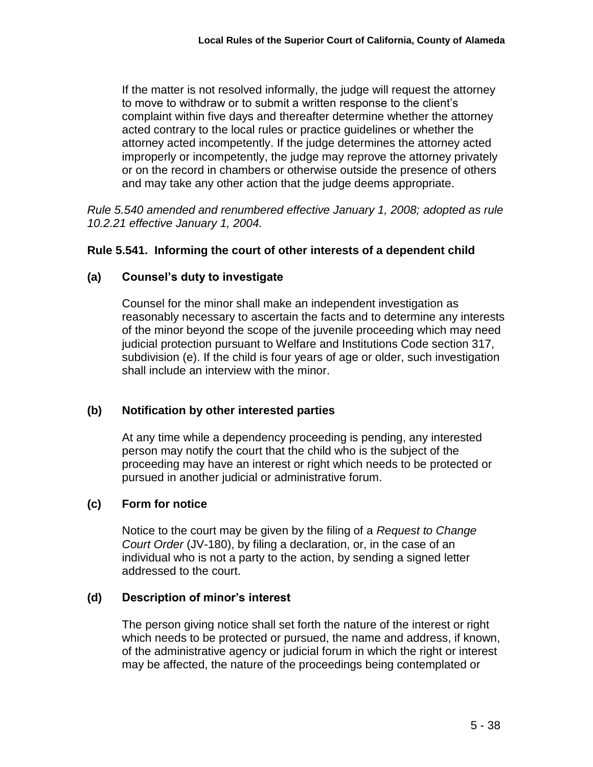If the matter is not resolved informally, the judge will request the attorney to move to withdraw or to submit a written response to the client's complaint within five days and thereafter determine whether the attorney acted contrary to the local rules or practice guidelines or whether the attorney acted incompetently. If the judge determines the attorney acted improperly or incompetently, the judge may reprove the attorney privately or on the record in chambers or otherwise outside the presence of others and may take any other action that the judge deems appropriate.

*Rule 5.540 amended and renumbered effective January 1, 2008; adopted as rule 10.2.21 effective January 1, 2004.*

## **Rule 5.541. Informing the court of other interests of a dependent child**

## **(a) Counsel's duty to investigate**

Counsel for the minor shall make an independent investigation as reasonably necessary to ascertain the facts and to determine any interests of the minor beyond the scope of the juvenile proceeding which may need judicial protection pursuant to Welfare and Institutions Code section 317, subdivision (e). If the child is four years of age or older, such investigation shall include an interview with the minor.

#### **(b) Notification by other interested parties**

At any time while a dependency proceeding is pending, any interested person may notify the court that the child who is the subject of the proceeding may have an interest or right which needs to be protected or pursued in another judicial or administrative forum.

#### **(c) Form for notice**

Notice to the court may be given by the filing of a *Request to Change Court Order* (JV-180), by filing a declaration, or, in the case of an individual who is not a party to the action, by sending a signed letter addressed to the court.

#### **(d) Description of minor's interest**

The person giving notice shall set forth the nature of the interest or right which needs to be protected or pursued, the name and address, if known, of the administrative agency or judicial forum in which the right or interest may be affected, the nature of the proceedings being contemplated or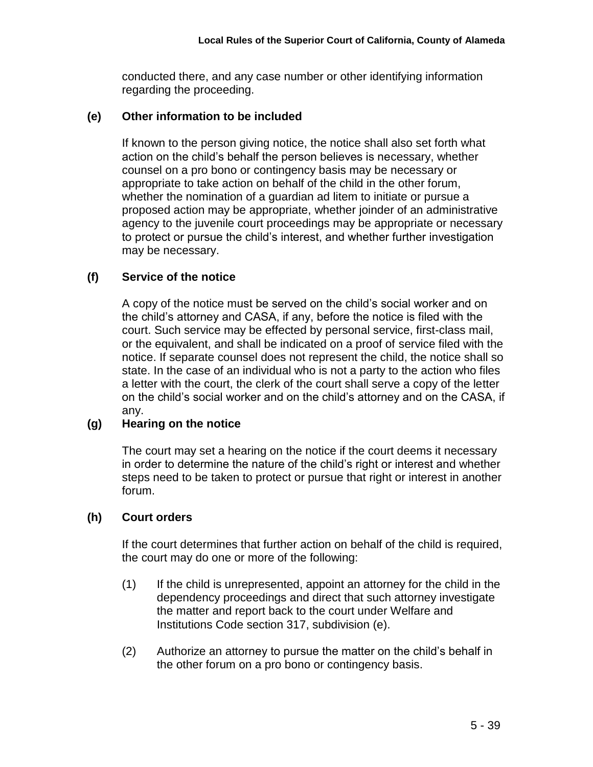conducted there, and any case number or other identifying information regarding the proceeding.

## **(e) Other information to be included**

If known to the person giving notice, the notice shall also set forth what action on the child's behalf the person believes is necessary, whether counsel on a pro bono or contingency basis may be necessary or appropriate to take action on behalf of the child in the other forum, whether the nomination of a guardian ad litem to initiate or pursue a proposed action may be appropriate, whether joinder of an administrative agency to the juvenile court proceedings may be appropriate or necessary to protect or pursue the child's interest, and whether further investigation may be necessary.

# **(f) Service of the notice**

A copy of the notice must be served on the child's social worker and on the child's attorney and CASA, if any, before the notice is filed with the court. Such service may be effected by personal service, first-class mail, or the equivalent, and shall be indicated on a proof of service filed with the notice. If separate counsel does not represent the child, the notice shall so state. In the case of an individual who is not a party to the action who files a letter with the court, the clerk of the court shall serve a copy of the letter on the child's social worker and on the child's attorney and on the CASA, if any.

# **(g) Hearing on the notice**

The court may set a hearing on the notice if the court deems it necessary in order to determine the nature of the child's right or interest and whether steps need to be taken to protect or pursue that right or interest in another forum.

#### **(h) Court orders**

If the court determines that further action on behalf of the child is required, the court may do one or more of the following:

- (1) If the child is unrepresented, appoint an attorney for the child in the dependency proceedings and direct that such attorney investigate the matter and report back to the court under Welfare and Institutions Code section 317, subdivision (e).
- (2) Authorize an attorney to pursue the matter on the child's behalf in the other forum on a pro bono or contingency basis.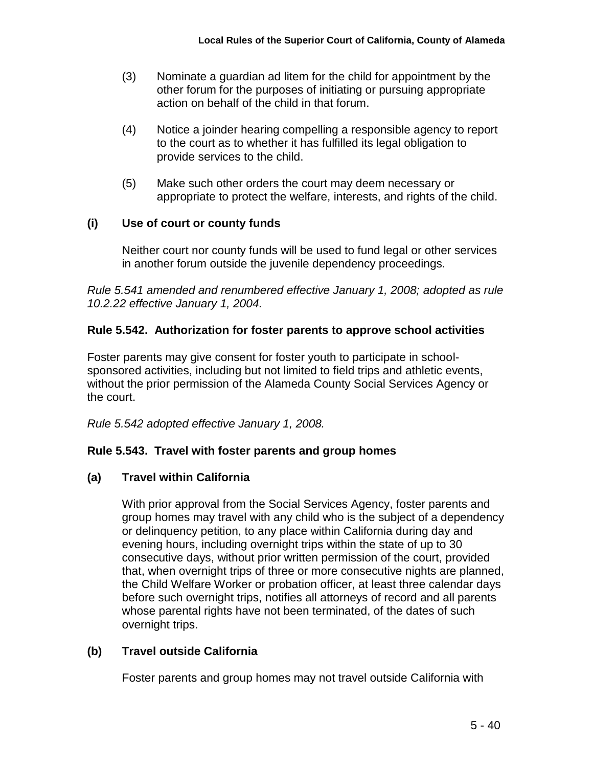- (3) Nominate a guardian ad litem for the child for appointment by the other forum for the purposes of initiating or pursuing appropriate action on behalf of the child in that forum.
- (4) Notice a joinder hearing compelling a responsible agency to report to the court as to whether it has fulfilled its legal obligation to provide services to the child.
- (5) Make such other orders the court may deem necessary or appropriate to protect the welfare, interests, and rights of the child.

# **(i) Use of court or county funds**

Neither court nor county funds will be used to fund legal or other services in another forum outside the juvenile dependency proceedings.

*Rule 5.541 amended and renumbered effective January 1, 2008; adopted as rule 10.2.22 effective January 1, 2004.*

# **Rule 5.542. Authorization for foster parents to approve school activities**

Foster parents may give consent for foster youth to participate in schoolsponsored activities, including but not limited to field trips and athletic events, without the prior permission of the Alameda County Social Services Agency or the court.

*Rule 5.542 adopted effective January 1, 2008.*

# **Rule 5.543. Travel with foster parents and group homes**

# **(a) Travel within California**

With prior approval from the Social Services Agency, foster parents and group homes may travel with any child who is the subject of a dependency or delinquency petition, to any place within California during day and evening hours, including overnight trips within the state of up to 30 consecutive days, without prior written permission of the court, provided that, when overnight trips of three or more consecutive nights are planned, the Child Welfare Worker or probation officer, at least three calendar days before such overnight trips, notifies all attorneys of record and all parents whose parental rights have not been terminated, of the dates of such overnight trips.

# **(b) Travel outside California**

Foster parents and group homes may not travel outside California with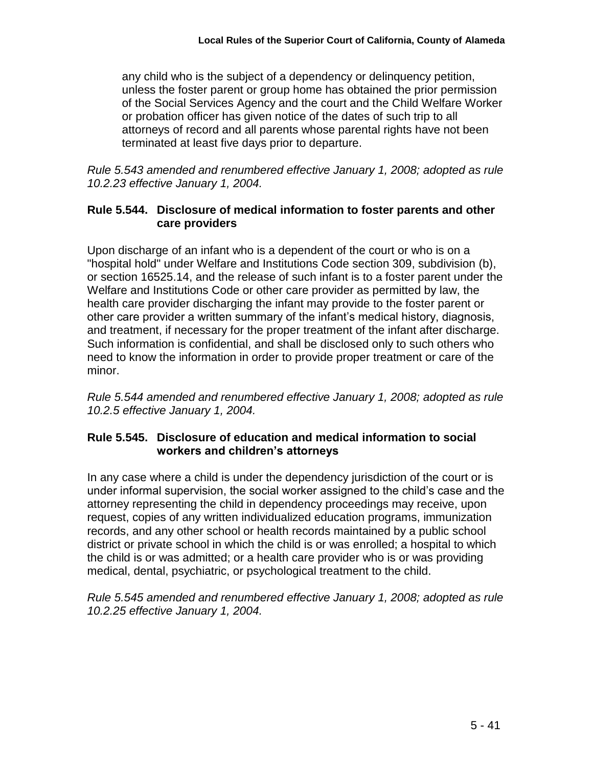any child who is the subject of a dependency or delinquency petition, unless the foster parent or group home has obtained the prior permission of the Social Services Agency and the court and the Child Welfare Worker or probation officer has given notice of the dates of such trip to all attorneys of record and all parents whose parental rights have not been terminated at least five days prior to departure.

*Rule 5.543 amended and renumbered effective January 1, 2008; adopted as rule 10.2.23 effective January 1, 2004.*

### **Rule 5.544. Disclosure of medical information to foster parents and other care providers**

Upon discharge of an infant who is a dependent of the court or who is on a "hospital hold" under Welfare and Institutions Code section 309, subdivision (b), or section 16525.14, and the release of such infant is to a foster parent under the Welfare and Institutions Code or other care provider as permitted by law, the health care provider discharging the infant may provide to the foster parent or other care provider a written summary of the infant's medical history, diagnosis, and treatment, if necessary for the proper treatment of the infant after discharge. Such information is confidential, and shall be disclosed only to such others who need to know the information in order to provide proper treatment or care of the minor.

*Rule 5.544 amended and renumbered effective January 1, 2008; adopted as rule 10.2.5 effective January 1, 2004.*

## **Rule 5.545. Disclosure of education and medical information to social workers and children's attorneys**

In any case where a child is under the dependency jurisdiction of the court or is under informal supervision, the social worker assigned to the child's case and the attorney representing the child in dependency proceedings may receive, upon request, copies of any written individualized education programs, immunization records, and any other school or health records maintained by a public school district or private school in which the child is or was enrolled; a hospital to which the child is or was admitted; or a health care provider who is or was providing medical, dental, psychiatric, or psychological treatment to the child.

*Rule 5.545 amended and renumbered effective January 1, 2008; adopted as rule 10.2.25 effective January 1, 2004.*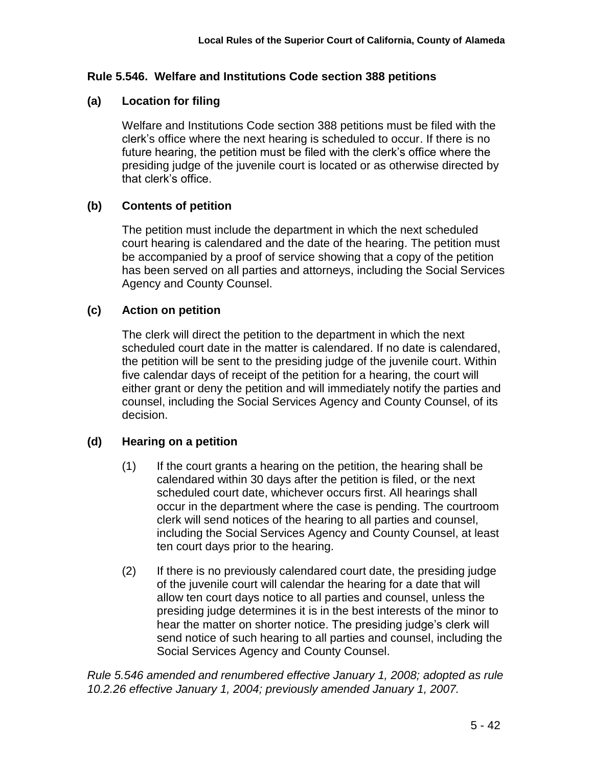## **Rule 5.546. Welfare and Institutions Code section 388 petitions**

## **(a) Location for filing**

Welfare and Institutions Code section 388 petitions must be filed with the clerk's office where the next hearing is scheduled to occur. If there is no future hearing, the petition must be filed with the clerk's office where the presiding judge of the juvenile court is located or as otherwise directed by that clerk's office.

## **(b) Contents of petition**

The petition must include the department in which the next scheduled court hearing is calendared and the date of the hearing. The petition must be accompanied by a proof of service showing that a copy of the petition has been served on all parties and attorneys, including the Social Services Agency and County Counsel.

## **(c) Action on petition**

The clerk will direct the petition to the department in which the next scheduled court date in the matter is calendared. If no date is calendared, the petition will be sent to the presiding judge of the juvenile court. Within five calendar days of receipt of the petition for a hearing, the court will either grant or deny the petition and will immediately notify the parties and counsel, including the Social Services Agency and County Counsel, of its decision.

# **(d) Hearing on a petition**

- (1) If the court grants a hearing on the petition, the hearing shall be calendared within 30 days after the petition is filed, or the next scheduled court date, whichever occurs first. All hearings shall occur in the department where the case is pending. The courtroom clerk will send notices of the hearing to all parties and counsel, including the Social Services Agency and County Counsel, at least ten court days prior to the hearing.
- (2) If there is no previously calendared court date, the presiding judge of the juvenile court will calendar the hearing for a date that will allow ten court days notice to all parties and counsel, unless the presiding judge determines it is in the best interests of the minor to hear the matter on shorter notice. The presiding judge's clerk will send notice of such hearing to all parties and counsel, including the Social Services Agency and County Counsel.

*Rule 5.546 amended and renumbered effective January 1, 2008; adopted as rule 10.2.26 effective January 1, 2004; previously amended January 1, 2007.*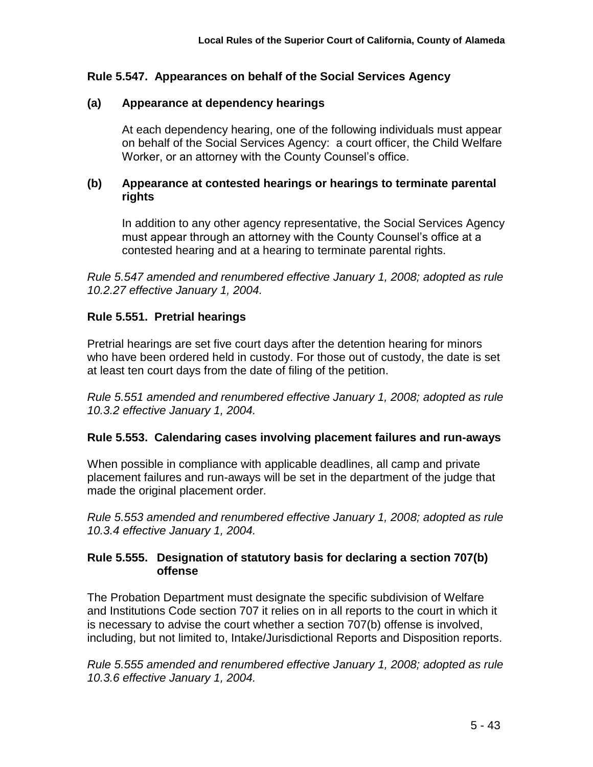## **Rule 5.547. Appearances on behalf of the Social Services Agency**

#### **(a) Appearance at dependency hearings**

At each dependency hearing, one of the following individuals must appear on behalf of the Social Services Agency: a court officer, the Child Welfare Worker, or an attorney with the County Counsel's office.

#### **(b) Appearance at contested hearings or hearings to terminate parental rights**

In addition to any other agency representative, the Social Services Agency must appear through an attorney with the County Counsel's office at a contested hearing and at a hearing to terminate parental rights.

*Rule 5.547 amended and renumbered effective January 1, 2008; adopted as rule 10.2.27 effective January 1, 2004.*

#### **Rule 5.551. Pretrial hearings**

Pretrial hearings are set five court days after the detention hearing for minors who have been ordered held in custody. For those out of custody, the date is set at least ten court days from the date of filing of the petition.

*Rule 5.551 amended and renumbered effective January 1, 2008; adopted as rule 10.3.2 effective January 1, 2004.*

#### **Rule 5.553. Calendaring cases involving placement failures and run-aways**

When possible in compliance with applicable deadlines, all camp and private placement failures and run-aways will be set in the department of the judge that made the original placement order*.*

*Rule 5.553 amended and renumbered effective January 1, 2008; adopted as rule 10.3.4 effective January 1, 2004.*

#### **Rule 5.555. Designation of statutory basis for declaring a section 707(b) offense**

The Probation Department must designate the specific subdivision of Welfare and Institutions Code section 707 it relies on in all reports to the court in which it is necessary to advise the court whether a section 707(b) offense is involved, including, but not limited to, Intake/Jurisdictional Reports and Disposition reports.

*Rule 5.555 amended and renumbered effective January 1, 2008; adopted as rule 10.3.6 effective January 1, 2004.*